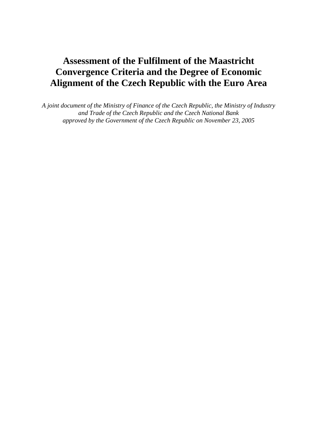## **Assessment of the Fulfilment of the Maastricht Convergence Criteria and the Degree of Economic Alignment of the Czech Republic with the Euro Area**

*A joint document of the Ministry of Finance of the Czech Republic, the Ministry of Industry and Trade of the Czech Republic and the Czech National Bank approved by the Government of the Czech Republic on November 23, 2005*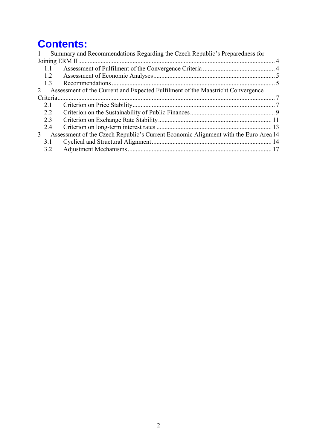# **Contents:**

|           | Summary and Recommendations Regarding the Czech Republic's Preparedness for         |  |
|-----------|-------------------------------------------------------------------------------------|--|
|           |                                                                                     |  |
| 1.1       |                                                                                     |  |
| 1.2       |                                                                                     |  |
| 1.3       |                                                                                     |  |
| 2         | Assessment of the Current and Expected Fulfilment of the Maastricht Convergence     |  |
| Criteria. |                                                                                     |  |
| 2.1       |                                                                                     |  |
| 2.2       |                                                                                     |  |
| 2.3       |                                                                                     |  |
| 2.4       |                                                                                     |  |
| 3         | Assessment of the Czech Republic's Current Economic Alignment with the Euro Area 14 |  |
| 3.1       |                                                                                     |  |
| 3.2       |                                                                                     |  |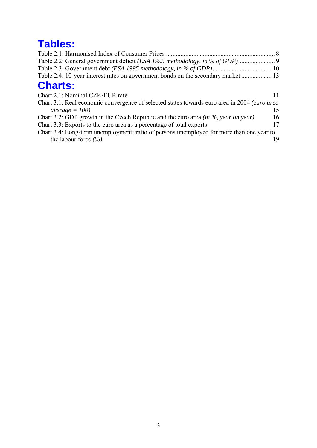# **Tables:**

| Chart 3.1: Real economic convergence of selected states towards euro area in 2004 (euro area |
|----------------------------------------------------------------------------------------------|
| 15                                                                                           |
| 16                                                                                           |
| 17                                                                                           |
| Chart 3.4: Long-term unemployment: ratio of persons unemployed for more than one year to     |
|                                                                                              |
|                                                                                              |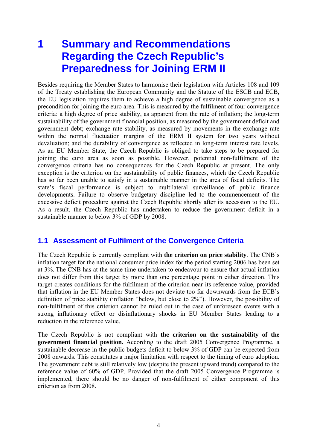# **1 Summary and Recommendations Regarding the Czech Republic's Preparedness for Joining ERM II**

Besides requiring the Member States to harmonise their legislation with Articles 108 and 109 of the Treaty establishing the European Community and the Statute of the ESCB and ECB, the EU legislation requires them to achieve a high degree of sustainable convergence as a precondition for joining the euro area. This is measured by the fulfilment of four convergence criteria: a high degree of price stability, as apparent from the rate of inflation; the long-term sustainability of the government financial position, as measured by the government deficit and government debt; exchange rate stability, as measured by movements in the exchange rate within the normal fluctuation margins of the ERM II system for two years without devaluation; and the durability of convergence as reflected in long-term interest rate levels. As an EU Member State, the Czech Republic is obliged to take steps to be prepared for joining the euro area as soon as possible. However, potential non-fulfilment of the convergence criteria has no consequences for the Czech Republic at present. The only exception is the criterion on the sustainability of public finances, which the Czech Republic has so far been unable to satisfy in a sustainable manner in the area of fiscal deficits. The state's fiscal performance is subject to multilateral surveillance of public finance developments. Failure to observe budgetary discipline led to the commencement of the excessive deficit procedure against the Czech Republic shortly after its accession to the EU. As a result, the Czech Republic has undertaken to reduce the government deficit in a sustainable manner to below 3% of GDP by 2008.

## **1.1 Assessment of Fulfilment of the Convergence Criteria**

The Czech Republic is currently compliant with **the criterion on price stability**. The CNB's inflation target for the national consumer price index for the period starting 2006 has been set at 3%. The CNB has at the same time undertaken to endeavour to ensure that actual inflation does not differ from this target by more than one percentage point in either direction. This target creates conditions for the fulfilment of the criterion near its reference value, provided that inflation in the EU Member States does not deviate too far downwards from the ECB's definition of price stability (inflation "below, but close to 2%"). However, the possibility of non-fulfilment of this criterion cannot be ruled out in the case of unforeseen events with a strong inflationary effect or disinflationary shocks in EU Member States leading to a reduction in the reference value.

The Czech Republic is not compliant with **the criterion on the sustainability of the government financial position.** According to the draft 2005 Convergence Programme, a sustainable decrease in the public budgets deficit to below 3% of GDP can be expected from 2008 onwards. This constitutes a major limitation with respect to the timing of euro adoption. The government debt is still relatively low (despite the present upward trend) compared to the reference value of 60% of GDP. Provided that the draft 2005 Convergence Programme is implemented, there should be no danger of non-fulfilment of either component of this criterion as from 2008.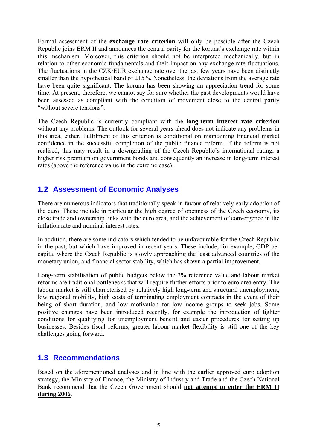Formal assessment of the **exchange rate criterion** will only be possible after the Czech Republic joins ERM II and announces the central parity for the koruna's exchange rate within this mechanism. Moreover, this criterion should not be interpreted mechanically, but in relation to other economic fundamentals and their impact on any exchange rate fluctuations. The fluctuations in the CZK/EUR exchange rate over the last few years have been distinctly smaller than the hypothetical band of  $\pm 15\%$ . Nonetheless, the deviations from the average rate have been quite significant. The koruna has been showing an appreciation trend for some time. At present, therefore, we cannot say for sure whether the past developments would have been assessed as compliant with the condition of movement close to the central parity "without severe tensions".

The Czech Republic is currently compliant with the **long-term interest rate criterion** without any problems. The outlook for several years ahead does not indicate any problems in this area, either. Fulfilment of this criterion is conditional on maintaining financial market confidence in the successful completion of the public finance reform. If the reform is not realised, this may result in a downgrading of the Czech Republic's international rating, a higher risk premium on government bonds and consequently an increase in long-term interest rates (above the reference value in the extreme case).

## **1.2 Assessment of Economic Analyses**

There are numerous indicators that traditionally speak in favour of relatively early adoption of the euro. These include in particular the high degree of openness of the Czech economy, its close trade and ownership links with the euro area, and the achievement of convergence in the inflation rate and nominal interest rates.

In addition, there are some indicators which tended to be unfavourable for the Czech Republic in the past, but which have improved in recent years. These include, for example, GDP per capita, where the Czech Republic is slowly approaching the least advanced countries of the monetary union, and financial sector stability, which has shown a partial improvement.

Long-term stabilisation of public budgets below the 3% reference value and labour market reforms are traditional bottlenecks that will require further efforts prior to euro area entry. The labour market is still characterised by relatively high long-term and structural unemployment, low regional mobility, high costs of terminating employment contracts in the event of their being of short duration, and low motivation for low-income groups to seek jobs. Some positive changes have been introduced recently, for example the introduction of tighter conditions for qualifying for unemployment benefit and easier procedures for setting up businesses. Besides fiscal reforms, greater labour market flexibility is still one of the key challenges going forward.

## **1.3 Recommendations**

Based on the aforementioned analyses and in line with the earlier approved euro adoption strategy, the Ministry of Finance, the Ministry of Industry and Trade and the Czech National Bank recommend that the Czech Government should **not attempt to enter the ERM II during 2006**.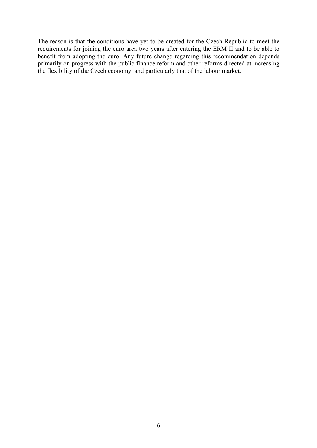The reason is that the conditions have yet to be created for the Czech Republic to meet the requirements for joining the euro area two years after entering the ERM II and to be able to benefit from adopting the euro. Any future change regarding this recommendation depends primarily on progress with the public finance reform and other reforms directed at increasing the flexibility of the Czech economy, and particularly that of the labour market.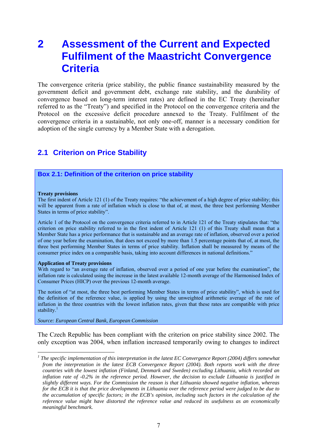## **2 Assessment of the Current and Expected Fulfilment of the Maastricht Convergence Criteria**

The convergence criteria (price stability, the public finance sustainability measured by the government deficit and government debt, exchange rate stability, and the durability of convergence based on long-term interest rates) are defined in the EC Treaty (hereinafter referred to as the "Treaty") and specified in the Protocol on the convergence criteria and the Protocol on the excessive deficit procedure annexed to the Treaty. Fulfilment of the convergence criteria in a sustainable, not only one-off, manner is a necessary condition for adoption of the single currency by a Member State with a derogation.

### **2.1 Criterion on Price Stability**

#### **Box 2.1: Definition of the criterion on price stability**

#### **Treaty provisions**

1

The first indent of Article 121 (1) of the Treaty requires: "the achievement of a high degree of price stability; this will be apparent from a rate of inflation which is close to that of, at most, the three best performing Member States in terms of price stability".

Article 1 of the Protocol on the convergence criteria referred to in Article 121 of the Treaty stipulates that: "the criterion on price stability referred to in the first indent of Article 121 (1) of this Treaty shall mean that a Member State has a price performance that is sustainable and an average rate of inflation, observed over a period of one year before the examination, that does not exceed by more than 1.5 percentage points that of, at most, the three best performing Member States in terms of price stability. Inflation shall be measured by means of the consumer price index on a comparable basis, taking into account differences in national definitions."

#### **Application of Treaty provisions**

With regard to "an average rate of inflation, observed over a period of one year before the examination", the inflation rate is calculated using the increase in the latest available 12-month average of the Harmonised Index of Consumer Prices (HICP) over the previous 12-month average.

The notion of "at most, the three best performing Member States in terms of price stability", which is used for the definition of the reference value, is applied by using the unweighted arithmetic average of the rate of inflation in the three countries with the lowest inflation rates, given that these rates are compatible with price stability. $1$ 

*Source: European Central Bank, European Commission*

The Czech Republic has been compliant with the criterion on price stability since 2002. The only exception was 2004, when inflation increased temporarily owing to changes to indirect

<sup>&</sup>lt;sup>1</sup> The specific implementation of this interpretation in the latest EC Convergence Report (2004) differs somewhat *from the interpretation in the latest ECB Convergence Report (2004). Both reports work with the three countries with the lowest inflation (Finland, Denmark and Sweden) excluding Lithuania, which recorded an inflation rate of -0.2% in the reference period. However, the decision to exclude Lithuania is justified in slightly different ways. For the Commission the reason is that Lithuania showed negative inflation, whereas for the ECB it is that the price developments in Lithuania over the reference period were judged to be due to the accumulation of specific factors; in the ECB's opinion, including such factors in the calculation of the reference value might have distorted the reference value and reduced its usefulness as an economically meaningful benchmark.*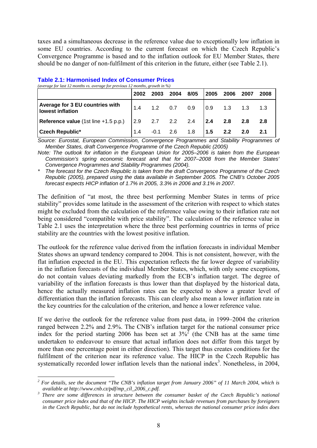taxes and a simultaneous decrease in the reference value due to exceptionally low inflation in some EU countries. According to the current forecast on which the Czech Republic's Convergence Programme is based and to the inflation outlook for EU Member States, there should be no danger of non-fulfilment of this criterion in the future, either (see Table 2.1).

|                                                            | 2002 | 2003 | 2004           | 8/05                                                                    | 2005 | 2006    | 2007       | 2008 |
|------------------------------------------------------------|------|------|----------------|-------------------------------------------------------------------------|------|---------|------------|------|
| Average for 3 EU countries with<br><b>Iowest inflation</b> | 1.4  |      | $1.2$ 0.7 0.9  |                                                                         | 0.9  | 1.3     | 1.3        |      |
| <b>Reference value</b> (1st line +1.5 p.p.)                |      |      |                | $\begin{array}{cccccc} \n2.9 & 2.7 & 2.2 & 2.4 & \n\end{array}$ 2.4 2.8 |      |         | 2.8        | 2.8  |
| <b>Czech Republic*</b>                                     |      |      | $-0.1$ 2.6 1.8 |                                                                         | 1.5  | $2.2\,$ | <b>2.0</b> | 2.1  |

#### **Table 2.1: Harmonised Index of Consumer Prices**  *(average for last 12 months vs. average for previous 12 months, growth in %)*

*Source: Eurostat, European Commission, Convergence Programmes and Stability Programmes of Member States, draft Convergence Programme of the Czech Republic (2005)* 

*Note: The outlook for inflation in the European Union for 2005–2006 is taken from the European Commission's spring economic forecast and that for 2007–2008 from the Member States' Convergence Programmes and Stability Programmes (2004).* 

*\* The forecast for the Czech Republic is taken from the draft Convergence Programme of the Czech Republic (2005), prepared using the data available in September 2005. The CNB's October 2005 forecast expects HICP inflation of 1.7% in 2005, 3.3% in 2006 and 3.1% in 2007.* 

The definition of "at most, the three best performing Member States in terms of price stability" provides some latitude in the assessment of the criterion with respect to which states might be excluded from the calculation of the reference value owing to their inflation rate not being considered "compatible with price stability". The calculation of the reference value in Table 2.1 uses the interpretation where the three best performing countries in terms of price stability are the countries with the lowest positive inflation.

The outlook for the reference value derived from the inflation forecasts in individual Member States shows an upward tendency compared to 2004. This is not consistent, however, with the flat inflation expected in the EU. This expectation reflects the far lower degree of variability in the inflation forecasts of the individual Member States, which, with only some exceptions, do not contain values deviating markedly from the ECB's inflation target. The degree of variability of the inflation forecasts is thus lower than that displayed by the historical data, hence the actually measured inflation rates can be expected to show a greater level of differentiation than the inflation forecasts. This can clearly also mean a lower inflation rate in the key countries for the calculation of the criterion, and hence a lower reference value.

If we derive the outlook for the reference value from past data, in 1999–2004 the criterion ranged between 2.2% and 2.9%. The CNB's inflation target for the national consumer price index for the period starting 2006 has been set at  $3\%$ <sup>2</sup> (the CNB has at the same time undertaken to endeavour to ensure that actual inflation does not differ from this target by more than one percentage point in either direction). This target thus creates conditions for the fulfilment of the criterion near its reference value. The HICP in the Czech Republic has systematically recorded lower inflation levels than the national index<sup>3</sup>. Nonetheless, in 2004,

<sup>1</sup> <sup>2</sup> For details, see the document "The CNB's inflation target from January 2006" of 11 March 2004, which is *available at http://www.cnb.cz/pdf/mp\_cíl\_2006\_c.pdf. 3*

*There are some differences in structure between the consumer basket of the Czech Republic's national consumer price index and that of the HICP. The HICP weights include revenues from purchases by foreigners in the Czech Republic, but do not include hypothetical rents, whereas the national consumer price index does*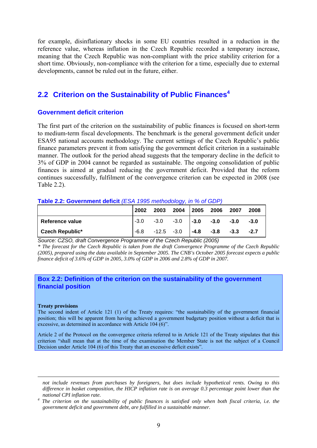for example, disinflationary shocks in some EU countries resulted in a reduction in the reference value, whereas inflation in the Czech Republic recorded a temporary increase, meaning that the Czech Republic was non-compliant with the price stability criterion for a short time. Obviously, non-compliance with the criterion for a time, especially due to external developments, cannot be ruled out in the future, either.

## **2.2 Criterion on the Sustainability of Public Finances<sup>4</sup>**

### **Government deficit criterion**

The first part of the criterion on the sustainability of public finances is focused on short-term to medium-term fiscal developments. The benchmark is the general government deficit under ESA95 national accounts methodology. The current settings of the Czech Republic's public finance parameters prevent it from satisfying the government deficit criterion in a sustainable manner. The outlook for the period ahead suggests that the temporary decline in the deficit to 3% of GDP in 2004 cannot be regarded as sustainable. The ongoing consolidation of public finances is aimed at gradual reducing the government deficit. Provided that the reform continues successfully, fulfilment of the convergence criterion can be expected in 2008 (see Table 2.2)

#### **Table 2.2: Government deficit** *(ESA 1995 methodology, in % of GDP)*

|                 | 2002   | 2003 | 2004                               | 2005 | 2006                 | 2007 | 2008   |
|-----------------|--------|------|------------------------------------|------|----------------------|------|--------|
| Reference value | $-3.0$ |      | $-3.0$ $-3.0$ $-3.0$ $-3.0$ $-3.0$ |      |                      |      | $-3.0$ |
| Czech Republic* | $-6.8$ |      | $-12.5 -3.0$                       |      | $-4.8$ $-3.8$ $-3.3$ |      | $-2.7$ |

*Source: CZSO, draft Convergence Programme of the Czech Republic (2005)* 

*\* The forecast for the Czech Republic is taken from the draft Convergence Programme of the Czech Republic (2005), prepared using the data available in September 2005. The CNB's October 2005 forecast expects a public finance deficit of 3.6% of GDP in 2005, 3.0% of GDP in 2006 and 2.8% of GDP in 2007.* 

### **Box 2.2: Definition of the criterion on the sustainability of the government financial position**

#### **Treaty provisions**

1

The second indent of Article 121 (1) of the Treaty requires: "the sustainability of the government financial position; this will be apparent from having achieved a government budgetary position without a deficit that is excessive, as determined in accordance with Article 104 (6)".

Article 2 of the Protocol on the convergence criteria referred to in Article 121 of the Treaty stipulates that this criterion "shall mean that at the time of the examination the Member State is not the subject of a Council Decision under Article 104 (6) of this Treaty that an excessive deficit exists".

*not include revenues from purchases by foreigners, but does include hypothetical rents. Owing to this difference in basket composition, the HICP inflation rate is on average 0.3 percentage point lower than the national CPI inflation rate. 4*

*The criterion on the sustainability of public finances is satisfied only when both fiscal criteria, i.e. the government deficit and government debt, are fulfilled in a sustainable manner.*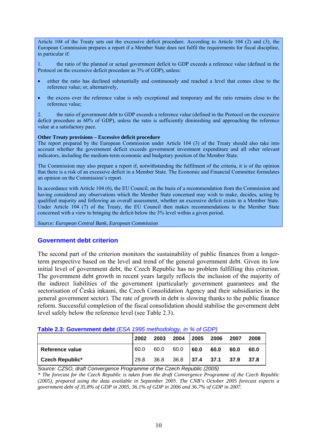Article 104 of the Treaty sets out the excessive deficit procedure. According to Article 104 (2) and (3), the European Commission prepares a report if a Member State does not fulfil the requirements for fiscal discipline, in particular if:

1. the ratio of the planned or actual government deficit to GDP exceeds a reference value (defined in the Protocol on the excessive deficit procedure as 3% of GDP), unless:

- either the ratio has declined substantially and continuously and reached a level that comes close to the reference value; or, alternatively,
- the excess over the reference value is only exceptional and temporary and the ratio remains close to the reference value;

2. the ratio of government debt to GDP exceeds a reference value (defined in the Protocol on the excessive deficit procedure as 60% of GDP), unless the ratio is sufficiently diminishing and approaching the reference value at a satisfactory pace.

#### **Other Treaty provisions – Excessive deficit procedure**

The report prepared by the European Commission under Article 104 (3) of the Treaty should also take into account whether the government deficit exceeds government investment expenditure and all other relevant indicators, including the medium-term economic and budgetary position of the Member State.

The Commission may also prepare a report if, notwithstanding the fulfilment of the criteria, it is of the opinion that there is a risk of an excessive deficit in a Member State. The Economic and Financial Committee formulates an opinion on the Commission's report.

In accordance with Article 104 (6), the EU Council, on the basis of a recommendation from the Commission and having considered any observations which the Member State concerned may wish to make, decides, acting by qualified majority and following an overall assessment, whether an excessive deficit exists in a Member State. Under Article 104 (7) of the Treaty, the EU Council then makes recommendations to the Member State concerned with a view to bringing the deficit below the 3% level within a given period.

*Source: European Central Bank, European Commission*

### **Government debt criterion**

The second part of the criterion monitors the sustainability of public finances from a longerterm perspective based on the level and trend of the general government debt. Given its low initial level of government debt, the Czech Republic has no problem fulfilling this criterion. The government debt growth in recent years largely reflects the inclusion of the majority of the indirect liabilities of the government (particularly government guarantees and the sectorisation of Česká inkasní, the Czech Consolidation Agency and their subsidiaries in the general government sector). The rate of growth in debt is slowing thanks to the public finance reform. Successful completion of the fiscal consolidation should stabilise the government debt level safely below the reference level (see Table 2.3).

| <u>Lable 2.3. Ouvernment debt (LOA 1990 Methodology, In 70 OF ODF)</u> |      |      |                          |             |      |      |      |  |  |
|------------------------------------------------------------------------|------|------|--------------------------|-------------|------|------|------|--|--|
|                                                                        | 2002 | 2003 | 2004                     | $\mid$ 2005 | 2006 | 2007 | 2008 |  |  |
| Reference value                                                        | 60.0 | 60.0 | $60.0$ $\big  60.0$ 60.0 |             |      | 60.0 | 60.0 |  |  |
| Czech Republic*                                                        | 29.8 |      | 36.8 36.8 37.4 37.1 37.9 |             |      |      | 37.8 |  |  |

### **Table 2.3: Government debt** *(ESA 1995 methodology, in % of GDP)*

*Source: CZSO, draft Convergence Programme of the Czech Republic (2005)* 

*\* The forecast for the Czech Republic is taken from the draft Convergence Programme of the Czech Republic (2005), prepared using the data available in September* 2005. *The CNB's October 2005 forecast expects a government debt of 35.8% of GDP in 2005, 36.1% of GDP in 2006 and 36.7% of GDP in 2007.*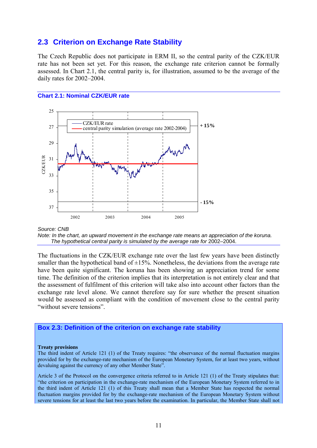### **2.3 Criterion on Exchange Rate Stability**

The Czech Republic does not participate in ERM II, so the central parity of the CZK/EUR rate has not been set yet. For this reason, the exchange rate criterion cannot be formally assessed. In Chart 2.1, the central parity is, for illustration, assumed to be the average of the daily rates for 2002–2004.

#### **Chart 2.1: Nominal CZK/EUR rate**



*Source: CNB* 

*Note: In the chart, an upward movement in the exchange rate means an appreciation of the koruna.*  The hypothetical central parity is simulated by the average rate for 2002–2004.

The fluctuations in the CZK/EUR exchange rate over the last few years have been distinctly smaller than the hypothetical band of  $\pm 15$ %. Nonetheless, the deviations from the average rate have been quite significant. The koruna has been showing an appreciation trend for some time. The definition of the criterion implies that its interpretation is not entirely clear and that the assessment of fulfilment of this criterion will take also into account other factors than the exchange rate level alone. We cannot therefore say for sure whether the present situation would be assessed as compliant with the condition of movement close to the central parity "without severe tensions".

#### **Box 2.3: Definition of the criterion on exchange rate stability**

#### **Treaty provisions**

The third indent of Article 121 (1) of the Treaty requires: "the observance of the normal fluctuation margins provided for by the exchange-rate mechanism of the European Monetary System, for at least two years, without devaluing against the currency of any other Member State".

Article 3 of the Protocol on the convergence criteria referred to in Article 121 (1) of the Treaty stipulates that: "the criterion on participation in the exchange-rate mechanism of the European Monetary System referred to in the third indent of Article 121 (1) of this Treaty shall mean that a Member State has respected the normal fluctuation margins provided for by the exchange-rate mechanism of the European Monetary System without severe tensions for at least the last two years before the examination. In particular, the Member State shall not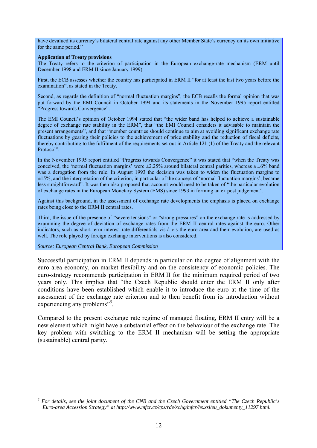have devalued its currency's bilateral central rate against any other Member State's currency on its own initiative for the same period."

#### **Application of Treaty provisions**

The Treaty refers to the criterion of participation in the European exchange-rate mechanism (ERM until December 1998 and ERM II since January 1999).

First, the ECB assesses whether the country has participated in ERM II "for at least the last two years before the examination", as stated in the Treaty.

Second, as regards the definition of "normal fluctuation margins", the ECB recalls the formal opinion that was put forward by the EMI Council in October 1994 and its statements in the November 1995 report entitled "Progress towards Convergence".

The EMI Council's opinion of October 1994 stated that "the wider band has helped to achieve a sustainable degree of exchange rate stability in the ERM", that "the EMI Council considers it advisable to maintain the present arrangements", and that "member countries should continue to aim at avoiding significant exchange rate fluctuations by gearing their policies to the achievement of price stability and the reduction of fiscal deficits, thereby contributing to the fulfilment of the requirements set out in Article 121 (1) of the Treaty and the relevant Protocol"

In the November 1995 report entitled "Progress towards Convergence" it was stated that "when the Treaty was conceived, the 'normal fluctuation margins' were  $\pm 2.25\%$  around bilateral central parities, whereas a  $\pm 6\%$  band was a derogation from the rule. In August 1993 the decision was taken to widen the fluctuation margins to  $\pm 15\%$ , and the interpretation of the criterion, in particular of the concept of 'normal fluctuation margins', became less straightforward". It was then also proposed that account would need to be taken of "the particular evolution of exchange rates in the European Monetary System (EMS) since 1993 in forming an ex post judgement".

Against this background, in the assessment of exchange rate developments the emphasis is placed on exchange rates being close to the ERM II central rates.

Third, the issue of the presence of "severe tensions" or "strong pressures" on the exchange rate is addressed by examining the degree of deviation of exchange rates from the ERM II central rates against the euro. Other indicators, such as short-term interest rate differentials vis-à-vis the euro area and their evolution, are used as well. The role played by foreign exchange interventions is also considered.

*Source: European Central Bank, European Commission*

1

Successful participation in ERM II depends in particular on the degree of alignment with the euro area economy, on market flexibility and on the consistency of economic policies. The euro-strategy recommends participation in ERM II for the minimum required period of two years only. This implies that "the Czech Republic should enter the ERM II only after conditions have been established which enable it to introduce the euro at the time of the assessment of the exchange rate criterion and to then benefit from its introduction without experiencing any problems"<sup>5</sup>.

Compared to the present exchange rate regime of managed floating, ERM II entry will be a new element which might have a substantial effect on the behaviour of the exchange rate. The key problem with switching to the ERM II mechanism will be setting the appropriate (sustainable) central parity.

*<sup>5</sup> For details, see the joint document of the CNB and the Czech Government entitled "The Czech Republic's Euro-area Accession Strategy" at http://www.mfcr.cz/cps/rde/xchg/mfcr/hs.xsl/eu\_dokumenty\_11297.html.*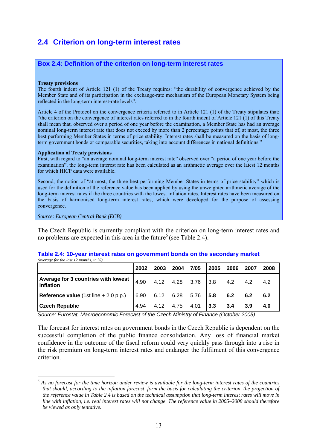## **2.4 Criterion on long-term interest rates**

### **Box 2.4: Definition of the criterion on long-term interest rates**

#### **Treaty provisions**

The fourth indent of Article 121 (1) of the Treaty requires: "the durability of convergence achieved by the Member State and of its participation in the exchange-rate mechanism of the European Monetary System being reflected in the long-term interest-rate levels".

Article 4 of the Protocol on the convergence criteria referred to in Article 121 (1) of the Treaty stipulates that: "the criterion on the convergence of interest rates referred to in the fourth indent of Article 121 (1) of this Treaty shall mean that, observed over a period of one year before the examination, a Member State has had an average nominal long-term interest rate that does not exceed by more than 2 percentage points that of, at most, the three best performing Member States in terms of price stability. Interest rates shall be measured on the basis of longterm government bonds or comparable securities, taking into account differences in national definitions."

#### **Application of Treaty provisions**

First, with regard to "an average nominal long-term interest rate" observed over "a period of one year before the examination", the long-term interest rate has been calculated as an arithmetic average over the latest 12 months for which HICP data were available.

Second, the notion of "at most, the three best performing Member States in terms of price stability" which is used for the definition of the reference value has been applied by using the unweighted arithmetic average of the long-term interest rates if the three countries with the lowest inflation rates. Interest rates have been measured on the basis of harmonised long-term interest rates, which were developed for the purpose of assessing convergence.

*Source: European Central Bank (ECB)*

1

The Czech Republic is currently compliant with the criterion on long-term interest rates and no problems are expected in this area in the future  $6$  (see Table 2.4).

#### **Table 2.4: 10-year interest rates on government bonds on the secondary market**  *(average for the last 12 months, in %)*

|                                                    | 2002 | 2003      | 2004                | 7/05 | 2005         | 2006 | 2007           | 2008 |
|----------------------------------------------------|------|-----------|---------------------|------|--------------|------|----------------|------|
| Average for 3 countries with lowest  <br>inflation | 4.90 |           | 4.12  4.28  3.76    |      | 3.8          | 4.2  | $4.2\quad 4.2$ |      |
| <b>Reference value</b> (1st line $+ 2.0 p.p.)$     |      |           | 6.90 6.12 6.28 5.76 |      | $\sqrt{5.8}$ | 6.2  | 6.2            | 6.2  |
| <b>Czech Republic</b>                              |      | 4.12 4.75 |                     | 4.01 | 3.3          | 3.4  | 3.9            | 4.0  |

*Source: Eurostat, Macroeconomic Forecast of the Czech Ministry of Finance (October 2005)* 

The forecast for interest rates on government bonds in the Czech Republic is dependent on the successful completion of the public finance consolidation. Any loss of financial market confidence in the outcome of the fiscal reform could very quickly pass through into a rise in the risk premium on long-term interest rates and endanger the fulfilment of this convergence criterion.

<sup>&</sup>lt;sup>6</sup> As no forecast for the time horizon under review is available for the long-term interest rates of the countries *that should, according to the inflation forecast, form the basis for calculating the criterion, the projection of the reference value in Table 2.4 is based on the technical assumption that long-term interest rates will move in line with inflation, i.e. real interest rates will not change. The reference value in 2005–2008 should therefore be viewed as only tentative.*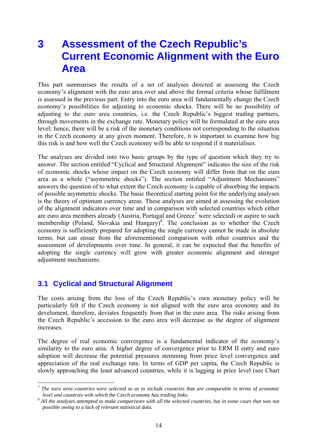# **3 Assessment of the Czech Republic's Current Economic Alignment with the Euro Area**

This part summarises the results of a set of analyses directed at assessing the Czech economy's alignment with the euro area over and above the formal criteria whose fulfilment is assessed in the previous part. Entry into the euro area will fundamentally change the Czech economy's possibilities for adjusting to economic shocks. There will be no possibility of adjusting to the euro area countries, i.e. the Czech Republic's biggest trading partners, through movements in the exchange rate. Monetary policy will be formulated at the euro area level; hence, there will be a risk of the monetary conditions not corresponding to the situation in the Czech economy at any given moment. Therefore, it is important to examine how big this risk is and how well the Czech economy will be able to respond if it materialises.

The analyses are divided into two basic groups by the type of question which they try to answer. The section entitled "Cyclical and Structural Alignment" indicates the size of the risk of economic shocks whose impact on the Czech economy will differ from that on the euro area as a whole ("asymmetric shocks"). The section entitled "Adjustment Mechanisms" answers the question of to what extent the Czech economy is capable of absorbing the impacts of possible asymmetric shocks. The basic theoretical starting point for the underlying analyses is the theory of optimum currency areas. These analyses are aimed at assessing the evolution of the alignment indicators over time and in comparison with selected countries which either are euro area members already (Austria, Portugal and Greece<sup>7</sup> were selected) or aspire to such membership (Poland, Slovakia and Hungary)<sup>8</sup>. The conclusion as to whether the Czech economy is sufficiently prepared for adopting the single currency cannot be made in absolute terms, but can ensue from the aforementioned comparison with other countries and the assessment of developments over time. In general, it can be expected that the benefits of adopting the single currency will grow with greater economic alignment and stronger adjustment mechanisms.

## **3.1 Cyclical and Structural Alignment**

The costs arising from the loss of the Czech Republic's own monetary policy will be particularly felt if the Czech economy is not aligned with the euro area economy and its develoment, therefore, deviates frequently from that in the euro area. The risks arising from the Czech Republic's accession to the euro area will decrease as the degree of alignment increases.

The degree of real economic convergence is a fundamental indicator of the economy's similarity to the euro area. A higher degree of convergence prior to ERM II entry and euro adoption will decrease the potential pressures stemming from price level convergence and appreciation of the real exchange rate. In terms of GDP per capita, the Czech Republic is slowly approaching the least advanced countries, while it is lagging in price level (see Chart

 *7 The euro area countries were selected so as to include countries that are comparable in terms of economic level and countries with which the Czech economy has trading links.* 

 $<sup>8</sup>$  All the analyses attempted to make comparisons with all the selected countries, but in some cases that was not</sup> *possible owing to a lack of relevant statistical data.*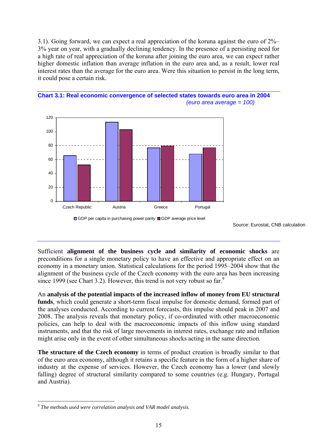3.1). Going forward, we can expect a real appreciation of the koruna against the euro of 2%– 3% year on year, with a gradually declining tendency. In the presence of a persisting need for a high rate of real appreciation of the koruna after joining the euro area, we can expect rather higher domestic inflation than average inflation in the euro area and, as a result, lower real interest rates than the average for the euro area. Were this situation to persist in the long term, it could pose a certain risk.





Source: Eurostat, CNB calculation

Sufficient **alignment of the business cycle and similarity of economic shocks** are preconditions for a single monetary policy to have an effective and appropriate effect on an economy in a monetary union. Statistical calculations for the period 1995–2004 show that the alignment of the business cycle of the Czech economy with the euro area has been increasing since 1999 (see Chart 3.2). However, this trend is not very robust so far. $9$ 

An **analysis of the potential impacts of the increased inflow of money from EU structural funds**, which could generate a short-term fiscal impulse for domestic demand, formed part of the analyses conducted. According to current forecasts, this impulse should peak in 2007 and 2008. The analysis reveals that monetary policy, if co-ordinated with other macroeconomic policies, can help to deal with the macroeconomic impacts of this inflow using standard instruments, and that the risk of large movements in interest rates, exchange rate and inflation might arise only in the event of other simultaneous shocks acting in the same direction.

**The structure of the Czech economy** in terms of product creation is broadly similar to that of the euro area economy, although it retains a specific feature in the form of a higher share of industry at the expense of services. However, the Czech economy has a lower (and slowly falling) degree of structural similarity compared to some countries (e.g. Hungary, Portugal and Austria).

1

GDP per capita in purchasing power parity GDP average price level

<sup>&</sup>lt;sup>9</sup> The methods used were correlation analysis and VAR model analysis.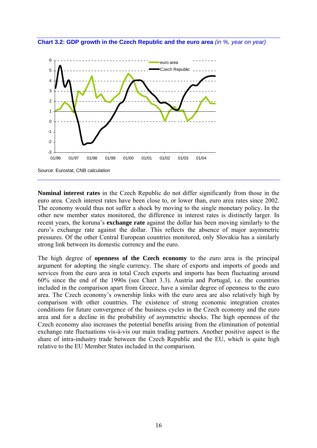



**Nominal interest rates** in the Czech Republic do not differ significantly from those in the euro area. Czech interest rates have been close to, or lower than, euro area rates since 2002. The economy would thus not suffer a shock by moving to the single monetary policy. In the other new member states monitored, the difference in interest rates is distinctly larger. In recent years, the koruna's **exchange rate** against the dollar has been moving similarly to the euro's exchange rate against the dollar. This reflects the absence of major asymmetric pressures. Of the other Central European countries monitored, only Slovakia has a similarly strong link between its domestic currency and the euro.

The high degree of **openness of the Czech economy** to the euro area is the principal argument for adopting the single currency. The share of exports and imports of goods and services from the euro area in total Czech exports and imports has been fluctuating around 60% since the end of the 1990s (see Chart 3.3). Austria and Portugal, i.e. the countries included in the comparison apart from Greece, have a similar degree of openness to the euro area. The Czech economy's ownership links with the euro area are also relatively high by comparison with other countries. The existence of strong economic integration creates conditions for future convergence of the business cycles in the Czech economy and the euro area and for a decline in the probability of asymmetric shocks. The high openness of the Czech economy also increases the potential benefits arising from the elimination of potential exchange rate fluctuations vis-à-vis our main trading partners. Another positive aspect is the share of intra-industry trade between the Czech Republic and the EU, which is quite high relative to the EU Member States included in the comparison.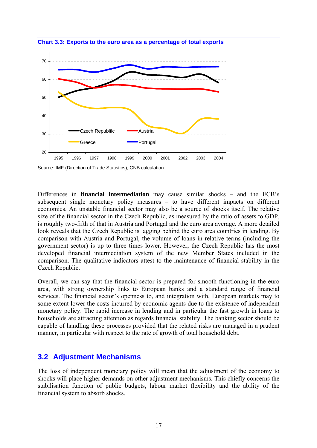

**Chart 3.3: Exports to the euro area as a percentage of total exports**

Differences in **financial intermediation** may cause similar shocks – and the ECB's subsequent single monetary policy measures – to have different impacts on different economies. An unstable financial sector may also be a source of shocks itself. The relative size of the financial sector in the Czech Republic, as measured by the ratio of assets to GDP, is roughly two-fifth of that in Austria and Portugal and the euro area average. A more detailed look reveals that the Czech Republic is lagging behind the euro area countries in lending. By comparison with Austria and Portugal, the volume of loans in relative terms (including the government sector) is up to three times lower. However, the Czech Republic has the most developed financial intermediation system of the new Member States included in the comparison. The qualitative indicators attest to the maintenance of financial stability in the Czech Republic.

Overall, we can say that the financial sector is prepared for smooth functioning in the euro area, with strong ownership links to European banks and a standard range of financial services. The financial sector's openness to, and integration with, European markets may to some extent lower the costs incurred by economic agents due to the existence of independent monetary policy. The rapid increase in lending and in particular the fast growth in loans to households are attracting attention as regards financial stability. The banking sector should be capable of handling these processes provided that the related risks are managed in a prudent manner, in particular with respect to the rate of growth of total household debt.

### **3.2 Adjustment Mechanisms**

The loss of independent monetary policy will mean that the adjustment of the economy to shocks will place higher demands on other adjustment mechanisms. This chiefly concerns the stabilisation function of public budgets, labour market flexibility and the ability of the financial system to absorb shocks.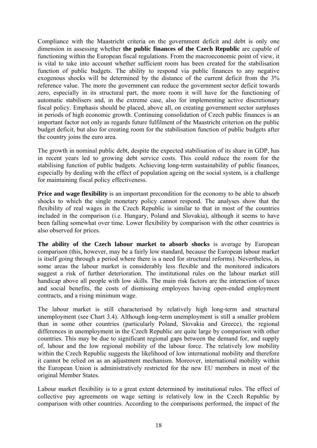Compliance with the Maastricht criteria on the government deficit and debt is only one dimension in assessing whether **the public finances of the Czech Republic** are capable of functioning within the European fiscal regulations. From the macroeconomic point of view, it is vital to take into account whether sufficient room has been created for the stabilisation function of public budgets. The ability to respond via public finances to any negative exogenous shocks will be determined by the distance of the current deficit from the 3% reference value. The more the government can reduce the government sector deficit towards zero, especially in its structural part, the more room it will have for the functioning of automatic stabilisers and, in the extreme case, also for implementing active discretionary fiscal policy. Emphasis should be placed, above all, on creating government sector surpluses in periods of high economic growth. Continuing consolidation of Czech public finances is an important factor not only as regards future fulfilment of the Maastricht criterion on the public budget deficit, but also for creating room for the stabilisation function of public budgets after the country joins the euro area.

The growth in nominal public debt, despite the expected stabilisation of its share in GDP, has in recent years led to growing debt service costs. This could reduce the room for the stabilising function of public budgets. Achieving long-term sustainability of public finances, especially by dealing with the effect of population ageing on the social system, is a challenge for maintaining fiscal policy effectiveness.

**Price and wage flexibility** is an important precondition for the economy to be able to absorb shocks to which the single monetary policy cannot respond. The analyses show that the flexibility of real wages in the Czech Republic is similar to that in most of the countries included in the comparison (i.e. Hungary, Poland and Slovakia), although it seems to have been falling somewhat over time. Lower flexibility by comparison with the other countries is also observed for prices.

**The ability of the Czech labour market to absorb shocks** is average by European comparison (this, however, may be a fairly low standard, because the European labour market is itself going through a period where there is a need for structural reforms). Nevertheless, in some areas the labour market is considerably less flexible and the monitored indicators suggest a risk of further deterioration. The institutional rules on the labour market still handicap above all people with low skills. The main risk factors are the interaction of taxes and social benefits, the costs of dismissing employees having open-ended employment contracts, and a rising minimum wage.

The labour market is still characterised by relatively high long-term and structural unemployment (see Chart 3.4). Although long-term unemployment is still a smaller problem than in some other countries (particularly Poland, Slovakia and Greece), the regional differences in unemployment in the Czech Republic are quite large by comparison with other countries. This may be due to significant regional gaps between the demand for, and supply of, labour and the low regional mobility of the labour force. The relatively low mobility within the Czech Republic suggests the likelihood of low international mobility and therefore it cannot be relied on as an adjustment mechanism. Moreover, international mobility within the European Union is administratively restricted for the new EU members in most of the original Member States.

Labour market flexibility is to a great extent determined by institutional rules. The effect of collective pay agreements on wage setting is relatively low in the Czech Republic by comparison with other countries. According to the comparisons performed, the impact of the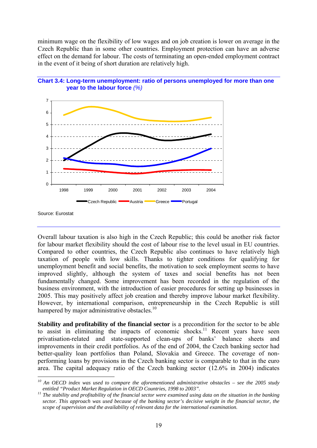minimum wage on the flexibility of low wages and on job creation is lower on average in the Czech Republic than in some other countries. Employment protection can have an adverse effect on the demand for labour. The costs of terminating an open-ended employment contract in the event of it being of short duration are relatively high.



Czech Republic **Austria Greece Portugal** 



1

Overall labour taxation is also high in the Czech Republic; this could be another risk factor for labour market flexibility should the cost of labour rise to the level usual in EU countries. Compared to other countries, the Czech Republic also continues to have relatively high taxation of people with low skills. Thanks to tighter conditions for qualifying for unemployment benefit and social benefits, the motivation to seek employment seems to have improved slightly, although the system of taxes and social benefits has not been fundamentally changed. Some improvement has been recorded in the regulation of the business environment, with the introduction of easier procedures for setting up businesses in 2005. This may positively affect job creation and thereby improve labour market flexibility. However, by international comparison, entrepreneurship in the Czech Republic is still hampered by major administrative obstacles.<sup>10</sup>

**Stability and profitability of the financial sector** is a precondition for the sector to be able to assist in eliminating the impacts of economic shocks.<sup>11</sup> Recent years have seen privatisation-related and state-supported clean-ups of banks' balance sheets and improvements in their credit portfolios. As of the end of 2004, the Czech banking sector had better-quality loan portfolios than Poland, Slovakia and Greece. The coverage of nonperforming loans by provisions in the Czech banking sector is comparable to that in the euro area. The capital adequacy ratio of the Czech banking sector (12.6% in 2004) indicates

Source: Eurostat

*<sup>10</sup> An OECD index was used to compare the aforementioned administrative obstacles – see the 2005 study* 

*entitled "Product Market Regulation in OECD Countries, 1998 to 2003".*<br><sup>11</sup> The stability and profitability of the financial sector were examined using data on the situation in the banking *sector. This approach was used because of the banking sector's decisive weight in the financial sector, the scope of supervision and the availability of relevant data for the international examination.*